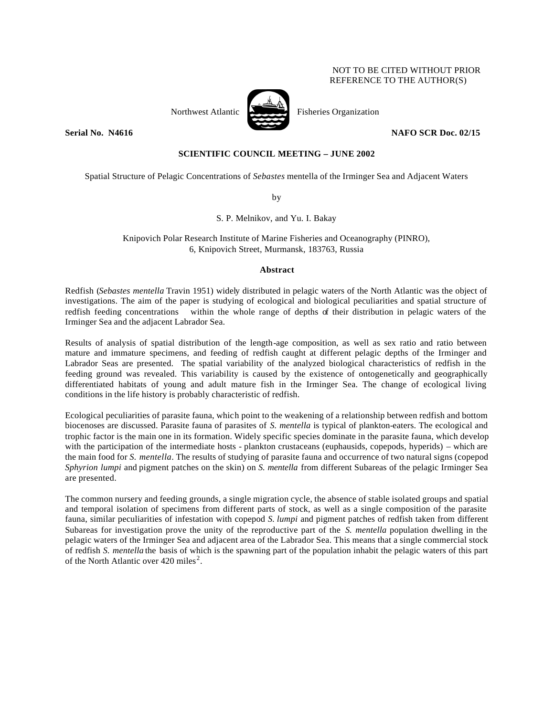# NOT TO BE CITED WITHOUT PRIOR REFERENCE TO THE AUTHOR(S)



Northwest Atlantic Fisheries Organization

**Serial No. 14616 NAFO SCR Doc. 02/15** 

# **SCIENTIFIC COUNCIL MEETING – JUNE 2002**

Spatial Structure of Pelagic Concentrations of *Sebastes* mentella of the Irminger Sea and Adjacent Waters

by

S. P. Melnikov, and Yu. I. Bakay

Knipovich Polar Research Institute of Marine Fisheries and Oceanography (PINRO), 6, Knipovich Street, Murmansk, 183763, Russia

# **Abstract**

Redfish (*Sebastes mentella* Travin 1951) widely distributed in pelagic waters of the North Atlantic was the object of investigations. The aim of the paper is studying of ecological and biological peculiarities and spatial structure of redfish feeding concentrations within the whole range of depths of their distribution in pelagic waters of the Irminger Sea and the adjacent Labrador Sea.

Results of analysis of spatial distribution of the length-age composition, as well as sex ratio and ratio between mature and immature specimens, and feeding of redfish caught at different pelagic depths of the Irminger and Labrador Seas are presented. The spatial variability of the analyzed biological characteristics of redfish in the feeding ground was revealed. This variability is caused by the existence of ontogenetically and geographically differentiated habitats of young and adult mature fish in the Irminger Sea. The change of ecological living conditions in the life history is probably characteristic of redfish.

Ecological peculiarities of parasite fauna, which point to the weakening of a relationship between redfish and bottom biocenoses are discussed. Parasite fauna of parasites of *S. mentella* is typical of plankton-eaters. The ecological and trophic factor is the main one in its formation. Widely specific species dominate in the parasite fauna, which develop with the participation of the intermediate hosts - plankton crustaceans (euphausids, copepods, hyperids) – which are the main food for *S. mentella*. The results of studying of parasite fauna and occurrence of two natural signs (copepod *Sphyrion lumpi* and pigment patches on the skin) on *S. mentella* from different Subareas of the pelagic Irminger Sea are presented.

The common nursery and feeding grounds, a single migration cycle, the absence of stable isolated groups and spatial and temporal isolation of specimens from different parts of stock, as well as a single composition of the parasite fauna, similar peculiarities of infestation with copepod *S. lumpi* and pigment patches of redfish taken from different Subareas for investigation prove the unity of the reproductive part of the *S. mentella* population dwelling in the pelagic waters of the Irminger Sea and adjacent area of the Labrador Sea. This means that a single commercial stock of redfish *S. mentella* the basis of which is the spawning part of the population inhabit the pelagic waters of this part of the North Atlantic over  $420$  miles<sup>2</sup>.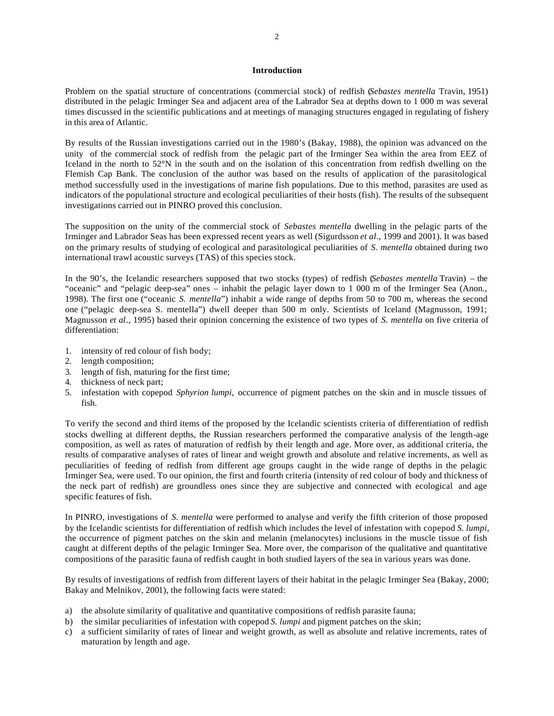## **Introduction**

Problem on the spatial structure of concentrations (commercial stock) of redfish (*Sebastes mentella* Travin, 1951) distributed in the pelagic Irminger Sea and adjacent area of the Labrador Sea at depths down to 1 000 m was several times discussed in the scientific publications and at meetings of managing structures engaged in regulating of fishery in this area of Atlantic.

By results of the Russian investigations carried out in the 1980's (Bakay, 1988), the opinion was advanced on the unity of the commercial stock of redfish from the pelagic part of the Irminger Sea within the area from EEZ of Iceland in the north to 52°N in the south and on the isolation of this concentration from redfish dwelling on the Flemish Cap Bank. The conclusion of the author was based on the results of application of the parasitological method successfully used in the investigations of marine fish populations. Due to this method, parasites are used as indicators of the populational structure and ecological peculiarities of their hosts (fish). The results of the subsequent investigations carried out in PINRO proved this conclusion.

The supposition on the unity of the commercial stock of *Sebastes mentella* dwelling in the pelagic parts of the Irminger and Labrador Seas has been expressed recent years as well (Sigurdsson *et al*., 1999 and 2001). It was based on the primary results of studying of ecological and parasitological peculiarities of *S. mentella* obtained during two international trawl acoustic surveys (TAS) of this species stock.

In the 90's, the Icelandic researchers supposed that two stocks (types) of redfish (*Sebastes mentella* Travin) – the "oceanic" and "pelagic deep-sea" ones – inhabit the pelagic layer down to 1 000 m of the Irminger Sea (Anon., 1998). The first one ("oceanic *S. mentella*") inhabit a wide range of depths from 50 to 700 m, whereas the second one ("pelagic deep-sea S. mentella") dwell deeper than 500 m only. Scientists of Iceland (Magnusson, 1991; Magnusson *et al*., 1995) based their opinion concerning the existence of two types of *S. mentella* on five criteria of differentiation:

- 1. intensity of red colour of fish body;
- 2. length composition;
- 3. length of fish, maturing for the first time;
- 4. thickness of neck part;
- 5. infestation with copepod *Sphyrion lumpi,* occurrence of pigment patches on the skin and in muscle tissues of fish.

To verify the second and third items of the proposed by the Icelandic scientists criteria of differentiation of redfish stocks dwelling at different depths, the Russian researchers performed the comparative analysis of the length-age composition, as well as rates of maturation of redfish by their length and age. More over, as additional criteria, the results of comparative analyses of rates of linear and weight growth and absolute and relative increments, as well as peculiarities of feeding of redfish from different age groups caught in the wide range of depths in the pelagic Irminger Sea, were used. To our opinion, the first and fourth criteria (intensity of red colour of body and thickness of the neck part of redfish) are groundless ones since they are subjective and connected with ecological and age specific features of fish.

In PINRO, investigations of *S. mentella* were performed to analyse and verify the fifth criterion of those proposed by the Icelandic scientists for differentiation of redfish which includes the level of infestation with copepod *S. lumpi*, the occurrence of pigment patches on the skin and melanin (melanocytes) inclusions in the muscle tissue of fish caught at different depths of the pelagic Irminger Sea. More over, the comparison of the qualitative and quantitative compositions of the parasitic fauna of redfish caught in both studied layers of the sea in various years was done.

By results of investigations of redfish from different layers of their habitat in the pelagic Irminger Sea (Bakay, 2000; Bakay and Melnikov, 2001), the following facts were stated:

- a) the absolute similarity of qualitative and quantitative compositions of redfish parasite fauna;
- b) the similar peculiarities of infestation with copepod *S. lumpi* and pigment patches on the skin;
- c) a sufficient similarity of rates of linear and weight growth, as well as absolute and relative increments, rates of maturation by length and age.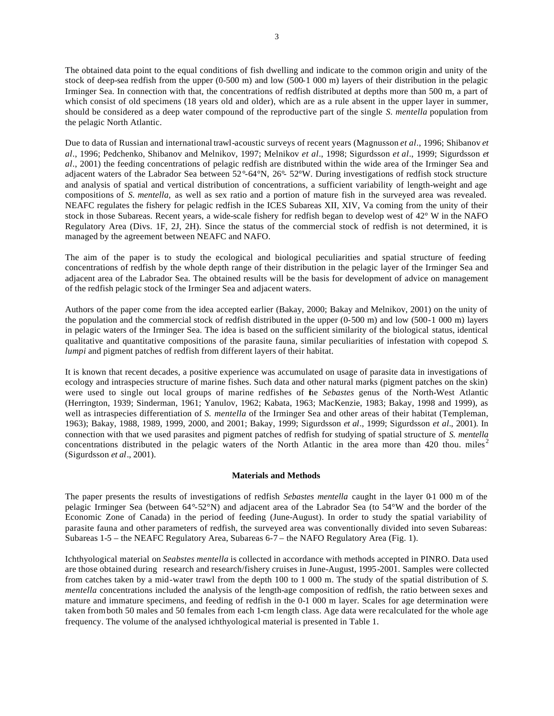The obtained data point to the equal conditions of fish dwelling and indicate to the common origin and unity of the stock of deep-sea redfish from the upper (0-500 m) and low (500-1 000 m) layers of their distribution in the pelagic Irminger Sea. In connection with that, the concentrations of redfish distributed at depths more than 500 m, a part of which consist of old specimens (18 years old and older), which are as a rule absent in the upper layer in summer, should be considered as a deep water compound of the reproductive part of the single *S. mentella* population from the pelagic North Atlantic.

Due to data of Russian and international trawl-acoustic surveys of recent years (Magnusson *et al*., 1996; Shibanov *et al*., 1996; Pedchenko, Shibanov and Melnikov, 1997; Melnikov *et al*., 1998; Sigurdsson *et al*., 1999; Sigurdsson *et al*., 2001) the feeding concentrations of pelagic redfish are distributed within the wide area of the Irminger Sea and adjacent waters of the Labrador Sea between 52°-64°N, 26°- 52°W. During investigations of redfish stock structure and analysis of spatial and vertical distribution of concentrations, a sufficient variability of length-weight and age compositions of *S. mentella,* as well as sex ratio and a portion of mature fish in the surveyed area was revealed. NEAFC regulates the fishery for pelagic redfish in the ICES Subareas XII, XIV, Va coming from the unity of their stock in those Subareas. Recent years, a wide-scale fishery for redfish began to develop west of 42° W in the NAFO Regulatory Area (Divs. 1F, 2J, 2H). Since the status of the commercial stock of redfish is not determined, it is managed by the agreement between NEAFC and NAFO.

The aim of the paper is to study the ecological and biological peculiarities and spatial structure of feeding concentrations of redfish by the whole depth range of their distribution in the pelagic layer of the Irminger Sea and adjacent area of the Labrador Sea. The obtained results will be the basis for development of advice on management of the redfish pelagic stock of the Irminger Sea and adjacent waters.

Authors of the paper come from the idea accepted earlier (Bakay, 2000; Bakay and Melnikov, 2001) on the unity of the population and the commercial stock of redfish distributed in the upper (0-500 m) and low (500-1 000 m) layers in pelagic waters of the Irminger Sea. The idea is based on the sufficient similarity of the biological status, identical qualitative and quantitative compositions of the parasite fauna, similar peculiarities of infestation with copepod *S. lumpi* and pigment patches of redfish from different layers of their habitat.

It is known that recent decades, a positive experience was accumulated on usage of parasite data in investigations of ecology and intraspecies structure of marine fishes. Such data and other natural marks (pigment patches on the skin) were used to single out local groups of marine redfishes of the *Sebastes* genus of the North-West Atlantic (Herrington, 1939; Sinderman, 1961; Yanulov, 1962; Kabata, 1963; MacKenzie, 1983; Bakay, 1998 and 1999), as well as intraspecies differentiation of *S. mentella* of the Irminger Sea and other areas of their habitat (Templeman, 1963); Bakay, 1988, 1989, 1999, 2000, and 2001; Bakay, 1999; Sigurdsson *et al*., 1999; Sigurdsson *et al*., 2001). In connection with that we used parasites and pigment patches of redfish for studying of spatial structure of *S. mentella* concentrations distributed in the pelagic waters of the North Atlantic in the area more than 420 thou. miles<sup>2</sup> (Sigurdsson *et al*., 2001).

### **Materials and Methods**

The paper presents the results of investigations of redfish *Sebastes mentella* caught in the layer 0-1 000 m of the pelagic Irminger Sea (between 64°-52°N) and adjacent area of the Labrador Sea (to 54°W and the border of the Economic Zone of Canada) in the period of feeding (June-August). In order to study the spatial variability of parasite fauna and other parameters of redfish, the surveyed area was conventionally divided into seven Subareas: Subareas 1-5 – the NEAFC Regulatory Area, Subareas 6-7 – the NAFO Regulatory Area (Fig. 1).

Ichthyological material on *Seabstes mentella* is collected in accordance with methods accepted in PINRO. Data used are those obtained during research and research/fishery cruises in June-August, 1995-2001. Samples were collected from catches taken by a mid-water trawl from the depth 100 to 1 000 m. The study of the spatial distribution of *S. mentella* concentrations included the analysis of the length-age composition of redfish, the ratio between sexes and mature and immature specimens, and feeding of redfish in the 0-1 000 m layer. Scales for age determination were taken from both 50 males and 50 females from each 1-cm length class. Age data were recalculated for the whole age frequency. The volume of the analysed ichthyological material is presented in Table 1.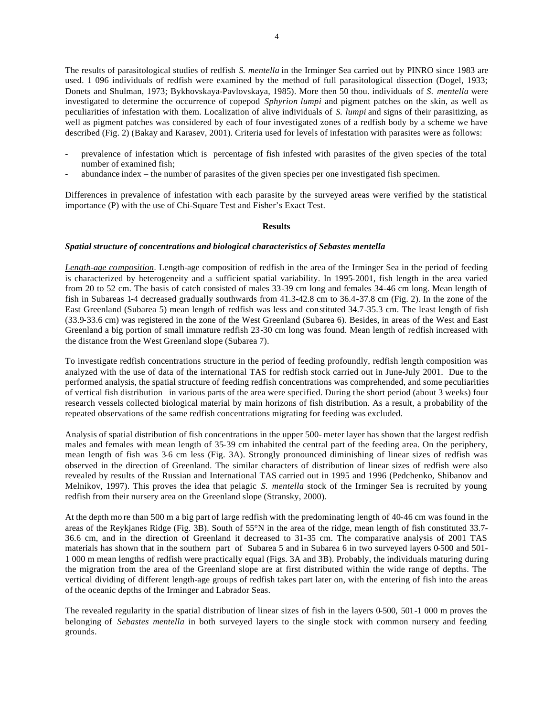The results of parasitological studies of redfish *S. mentella* in the Irminger Sea carried out by PINRO since 1983 are used. 1 096 individuals of redfish were examined by the method of full parasitological dissection (Dogel, 1933; Donets and Shulman, 1973; Bykhovskaya-Pavlovskaya, 1985). More then 50 thou. individuals of *S. mentella* were investigated to determine the occurrence of copepod *Sphyrion lumpi* and pigment patches on the skin, as well as peculiarities of infestation with them. Localization of alive individuals of *S. lumpi* and signs of their parasitizing, as well as pigment patches was considered by each of four investigated zones of a redfish body by a scheme we have described (Fig. 2) (Bakay and Karasev, 2001). Criteria used for levels of infestation with parasites were as follows:

- prevalence of infestation which is percentage of fish infested with parasites of the given species of the total number of examined fish;
- abundance index the number of parasites of the given species per one investigated fish specimen.

Differences in prevalence of infestation with each parasite by the surveyed areas were verified by the statistical importance (P) with the use of Chi-Square Test and Fisher's Exact Test.

### **Results**

#### *Spatial structure of concentrations and biological characteristics of Sebastes mentella*

*Length-age composition*. Length-age composition of redfish in the area of the Irminger Sea in the period of feeding is characterized by heterogeneity and a sufficient spatial variability. In 1995-2001, fish length in the area varied from 20 to 52 cm. The basis of catch consisted of males 33-39 cm long and females 34-46 cm long. Mean length of fish in Subareas 1-4 decreased gradually southwards from 41.3-42.8 cm to 36.4-37.8 cm (Fig. 2). In the zone of the East Greenland (Subarea 5) mean length of redfish was less and constituted 34.7-35.3 cm. The least length of fish (33.9-33.6 cm) was registered in the zone of the West Greenland (Subarea 6). Besides, in areas of the West and East Greenland a big portion of small immature redfish 23-30 cm long was found. Mean length of redfish increased with the distance from the West Greenland slope (Subarea 7).

To investigate redfish concentrations structure in the period of feeding profoundly, redfish length composition was analyzed with the use of data of the international TAS for redfish stock carried out in June-July 2001. Due to the performed analysis, the spatial structure of feeding redfish concentrations was comprehended, and some peculiarities of vertical fish distribution in various parts of the area were specified. During the short period (about 3 weeks) four research vessels collected biological material by main horizons of fish distribution. As a result, a probability of the repeated observations of the same redfish concentrations migrating for feeding was excluded.

Analysis of spatial distribution of fish concentrations in the upper 500- meter layer has shown that the largest redfish males and females with mean length of 35-39 cm inhabited the central part of the feeding area. On the periphery, mean length of fish was 3-6 cm less (Fig. 3A). Strongly pronounced diminishing of linear sizes of redfish was observed in the direction of Greenland. The similar characters of distribution of linear sizes of redfish were also revealed by results of the Russian and International TAS carried out in 1995 and 1996 (Pedchenko, Shibanov and Melnikov, 1997). This proves the idea that pelagic *S. mentella* stock of the Irminger Sea is recruited by young redfish from their nursery area on the Greenland slope (Stransky, 2000).

At the depth mo re than 500 m a big part of large redfish with the predominating length of 40-46 cm was found in the areas of the Reykjanes Ridge (Fig. 3B). South of 55°N in the area of the ridge, mean length of fish constituted 33.7- 36.6 cm, and in the direction of Greenland it decreased to 31-35 cm. The comparative analysis of 2001 TAS materials has shown that in the southern part of Subarea 5 and in Subarea 6 in two surveyed layers 0-500 and 501- 1 000 m mean lengths of redfish were practically equal (Figs. 3A and 3B). Probably, the individuals maturing during the migration from the area of the Greenland slope are at first distributed within the wide range of depths. The vertical dividing of different length-age groups of redfish takes part later on, with the entering of fish into the areas of the oceanic depths of the Irminger and Labrador Seas.

The revealed regularity in the spatial distribution of linear sizes of fish in the layers 0-500, 501-1 000 m proves the belonging of *Sebastes mentella* in both surveyed layers to the single stock with common nursery and feeding grounds.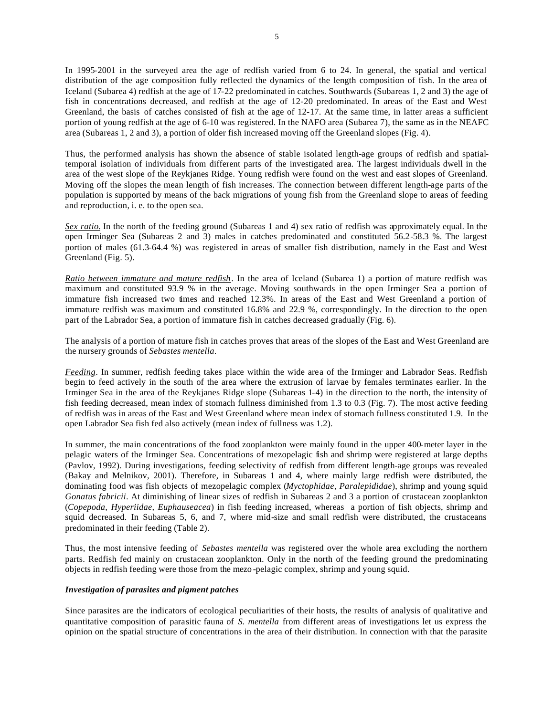In 1995-2001 in the surveyed area the age of redfish varied from 6 to 24. In general, the spatial and vertical distribution of the age composition fully reflected the dynamics of the length composition of fish. In the area of Iceland (Subarea 4) redfish at the age of 17-22 predominated in catches. Southwards (Subareas 1, 2 and 3) the age of fish in concentrations decreased, and redfish at the age of 12-20 predominated. In areas of the East and West Greenland, the basis of catches consisted of fish at the age of 12-17. At the same time, in latter areas a sufficient portion of young redfish at the age of 6-10 was registered. In the NAFO area (Subarea 7), the same as in the NEAFC area (Subareas 1, 2 and 3), a portion of older fish increased moving off the Greenland slopes (Fig. 4).

Thus, the performed analysis has shown the absence of stable isolated length-age groups of redfish and spatialtemporal isolation of individuals from different parts of the investigated area. The largest individuals dwell in the area of the west slope of the Reykjanes Ridge. Young redfish were found on the west and east slopes of Greenland. Moving off the slopes the mean length of fish increases. The connection between different length-age parts of the population is supported by means of the back migrations of young fish from the Greenland slope to areas of feeding and reproduction, i. e. to the open sea.

*Sex ratio.* In the north of the feeding ground (Subareas 1 and 4) sex ratio of redfish was approximately equal. In the open Irminger Sea (Subareas 2 and 3) males in catches predominated and constituted 56.2-58.3 %. The largest portion of males (61.3-64.4 %) was registered in areas of smaller fish distribution, namely in the East and West Greenland (Fig. 5).

*Ratio between immature and mature redfish*. In the area of Iceland (Subarea 1) a portion of mature redfish was maximum and constituted 93.9 % in the average. Moving southwards in the open Irminger Sea a portion of immature fish increased two times and reached 12.3%. In areas of the East and West Greenland a portion of immature redfish was maximum and constituted 16.8% and 22.9 %, correspondingly. In the direction to the open part of the Labrador Sea, a portion of immature fish in catches decreased gradually (Fig. 6).

The analysis of a portion of mature fish in catches proves that areas of the slopes of the East and West Greenland are the nursery grounds of *Sebastes mentella*.

*Feeding*. In summer, redfish feeding takes place within the wide area of the Irminger and Labrador Seas. Redfish begin to feed actively in the south of the area where the extrusion of larvae by females terminates earlier. In the Irminger Sea in the area of the Reykjanes Ridge slope (Subareas 1-4) in the direction to the north, the intensity of fish feeding decreased, mean index of stomach fullness diminished from 1.3 to 0.3 (Fig. 7). The most active feeding of redfish was in areas of the East and West Greenland where mean index of stomach fullness constituted 1.9. In the open Labrador Sea fish fed also actively (mean index of fullness was 1.2).

In summer, the main concentrations of the food zooplankton were mainly found in the upper 400-meter layer in the pelagic waters of the Irminger Sea. Concentrations of mezopelagic fish and shrimp were registered at large depths (Pavlov, 1992). During investigations, feeding selectivity of redfish from different length-age groups was revealed (Bakay and Melnikov, 2001). Therefore, in Subareas 1 and 4, where mainly large redfish were distributed, the dominating food was fish objects of mezopelagic complex (*Myctophidae, Paralepididae*), shrimp and young squid *Gonatus fabricii*. At diminishing of linear sizes of redfish in Subareas 2 and 3 a portion of crustacean zooplankton (*Copepoda, Hyperiidae, Euphauseacea*) in fish feeding increased, whereas a portion of fish objects, shrimp and squid decreased. In Subareas 5, 6, and 7, where mid-size and small redfish were distributed, the crustaceans predominated in their feeding (Table 2).

Thus, the most intensive feeding of *Sebastes mentella* was registered over the whole area excluding the northern parts. Redfish fed mainly on crustacean zooplankton. Only in the north of the feeding ground the predominating objects in redfish feeding were those from the mezo -pelagic complex, shrimp and young squid.

### *Investigation of parasites and pigment patches*

Since parasites are the indicators of ecological peculiarities of their hosts, the results of analysis of qualitative and quantitative composition of parasitic fauna of *S. mentella* from different areas of investigations let us express the opinion on the spatial structure of concentrations in the area of their distribution. In connection with that the parasite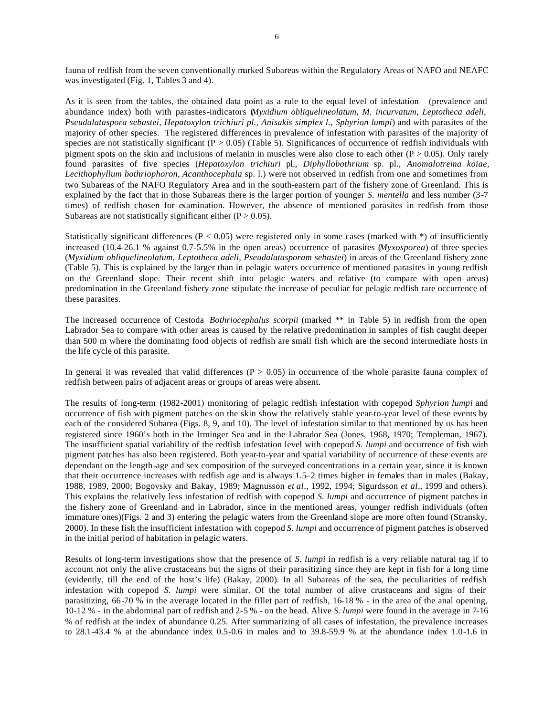fauna of redfish from the seven conventionally marked Subareas within the Regulatory Areas of NAFO and NEAFC was investigated (Fig. 1, Tables 3 and 4).

As it is seen from the tables, the obtained data point as a rule to the equal level of infestation (prevalence and abundance index) both with parasites-indicators (*Myxidium obliquelineolatum, M. incurvatum, Leptotheca adeli, Pseudalataspora sebastei, Hepatoxylon trichiuri pl., Anisakis simplex l., Sphyrion lumpi*) and with parasites of the majority of other species. The registered differences in prevalence of infestation with parasites of the majority of species are not statistically significant ( $P > 0.05$ ) (Table 5). Significances of occurrence of redfish individuals with pigment spots on the skin and inclusions of melanin in muscles were also close to each other ( $P > 0.05$ ). Only rarely found parasites of five species (*Hepatoxylon trichiuri* pl., *Diphyllobothrium* sp. pl., *Anomalotrema koiae*, *Lecithophyllum bothriophoron*, *Acanthocephala* sp. l.) were not observed in redfish from one and sometimes from two Subareas of the NAFO Regulatory Area and in the south-eastern part of the fishery zone of Greenland. This is explained by the fact that in those Subareas there is the larger portion of younger *S. mentella* and less number (3-7 times) of redfish chosen for examination. However, the absence of mentioned parasites in redfish from those Subareas are not statistically significant either  $(P > 0.05)$ .

Statistically significant differences ( $P < 0.05$ ) were registered only in some cases (marked with  $*)$  of insufficiently increased (10.4-26.1 % against 0.7-5.5% in the open areas) occurrence of parasites (*Myxosporea*) of three species (*Myxidium obliquelineolatum, Leptotheca adeli, Pseudalatasporam sebastei*) in areas of the Greenland fishery zone (Table 5). This is explained by the larger than in pelagic waters occurrence of mentioned parasites in young redfish on the Greenland slope. Their recent shift into pelagic waters and relative (to compare with open areas) predomination in the Greenland fishery zone stipulate the increase of peculiar for pelagic redfish rare occurrence of these parasites.

The increased occurrence of Cestoda *Bothriocephalus scorpii* (marked \*\* in Table 5) in redfish from the open Labrador Sea to compare with other areas is caused by the relative predomination in samples of fish caught deeper than 500 m where the dominating food objects of redfish are small fish which are the second intermediate hosts in the life cycle of this parasite.

In general it was revealed that valid differences ( $P > 0.05$ ) in occurrence of the whole parasite fauna complex of redfish between pairs of adjacent areas or groups of areas were absent.

The results of long-term (1982-2001) monitoring of pelagic redfish infestation with copepod *Sphyrion lumpi* and occurrence of fish with pigment patches on the skin show the relatively stable year-to-year level of these events by each of the considered Subarea (Figs. 8, 9, and 10). The level of infestation similar to that mentioned by us has been registered since 1960's both in the Irminger Sea and in the Labrador Sea (Jones, 1968, 1970; Templeman, 1967). The insufficient spatial variability of the redfish infestation level with copepod *S. lumpi* and occurrence of fish with pigment patches has also been registered. Both year-to-year and spatial variability of occurrence of these events are dependant on the length-age and sex composition of the surveyed concentrations in a certain year, since it is known that their occurrence increases with redfish age and is always 1.5–2 times higher in females than in males (Bakay, 1988, 1989, 2000; Bogovsky and Bakay, 1989; Magnusson *et al*., 1992, 1994; Sigurdsson *et al*., 1999 and others). This explains the relatively less infestation of redfish with copepod *S. lumpi* and occurrence of pigment patches in the fishery zone of Greenland and in Labrador, since in the mentioned areas, younger redfish individuals (often immature ones)(Figs. 2 and 3) entering the pelagic waters from the Greenland slope are more often found (Stransky, 2000). In these fish the insufficient infestation with copepod *S. lumpi* and occurrence of pigment patches is observed in the initial period of habitation in pelagic waters.

Results of long-term investigations show that the presence of *S. lumpi* in redfish is a very reliable natural tag if to account not only the alive crustaceans but the signs of their parasitizing since they are kept in fish for a long time (evidently, till the end of the host's life) (Bakay, 2000). In all Subareas of the sea, the peculiarities of redfish infestation with copepod *S. lumpi* were similar. Of the total number of alive crustaceans and signs of their parasitizing, 66-70 % in the average located in the fillet part of redfish, 16-18 % - in the area of the anal opening, 10-12 % - in the abdominal part of redfish and 2-5 % - on the head. Alive *S. lumpi* were found in the average in 7-16 % of redfish at the index of abundance 0.25. After summarizing of all cases of infestation, the prevalence increases to 28.1-43.4 % at the abundance index 0.5-0.6 in males and to 39.8-59.9 % at the abundance index 1.0-1.6 in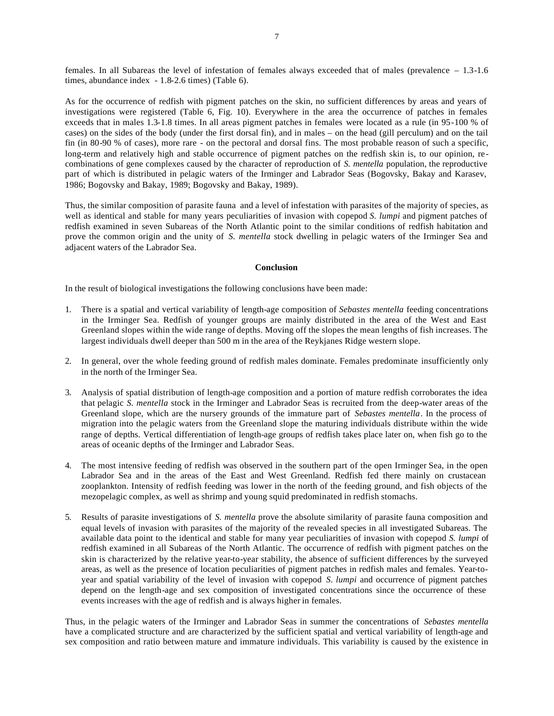females. In all Subareas the level of infestation of females always exceeded that of males (prevalence – 1.3-1.6 times, abundance index - 1.8-2.6 times) (Table 6).

As for the occurrence of redfish with pigment patches on the skin, no sufficient differences by areas and years of investigations were registered (Table 6, Fig. 10). Everywhere in the area the occurrence of patches in females exceeds that in males 1.3-1.8 times. In all areas pigment patches in females were located as a rule (in 95-100 % of cases) on the sides of the body (under the first dorsal fin), and in males – on the head (gill perculum) and on the tail fin (in 80-90 % of cases), more rare - on the pectoral and dorsal fins. The most probable reason of such a specific, long-term and relatively high and stable occurrence of pigment patches on the redfish skin is, to our opinion, recombinations of gene complexes caused by the character of reproduction of *S. mentella* population, the reproductive part of which is distributed in pelagic waters of the Irminger and Labrador Seas (Bogovsky, Bakay and Karasev, 1986; Bogovsky and Bakay, 1989; Bogovsky and Bakay, 1989).

Thus, the similar composition of parasite fauna and a level of infestation with parasites of the majority of species, as well as identical and stable for many years peculiarities of invasion with copepod *S. lumpi* and pigment patches of redfish examined in seven Subareas of the North Atlantic point to the similar conditions of redfish habitation and prove the common origin and the unity of *S. mentella* stock dwelling in pelagic waters of the Irminger Sea and adjacent waters of the Labrador Sea.

#### **Conclusion**

In the result of biological investigations the following conclusions have been made:

- 1. There is a spatial and vertical variability of length-age composition of *Sebastes mentella* feeding concentrations in the Irminger Sea. Redfish of younger groups are mainly distributed in the area of the West and East Greenland slopes within the wide range of depths. Moving off the slopes the mean lengths of fish increases. The largest individuals dwell deeper than 500 m in the area of the Reykjanes Ridge western slope.
- 2. In general, over the whole feeding ground of redfish males dominate. Females predominate insufficiently only in the north of the Irminger Sea.
- 3. Analysis of spatial distribution of length-age composition and a portion of mature redfish corroborates the idea that pelagic *S. mentella* stock in the Irminger and Labrador Seas is recruited from the deep-water areas of the Greenland slope, which are the nursery grounds of the immature part of *Sebastes mentella*. In the process of migration into the pelagic waters from the Greenland slope the maturing individuals distribute within the wide range of depths. Vertical differentiation of length-age groups of redfish takes place later on, when fish go to the areas of oceanic depths of the Irminger and Labrador Seas.
- 4. The most intensive feeding of redfish was observed in the southern part of the open Irminger Sea, in the open Labrador Sea and in the areas of the East and West Greenland. Redfish fed there mainly on crustacean zooplankton. Intensity of redfish feeding was lower in the north of the feeding ground, and fish objects of the mezopelagic complex, as well as shrimp and young squid predominated in redfish stomachs.
- 5. Results of parasite investigations of *S. mentella* prove the absolute similarity of parasite fauna composition and equal levels of invasion with parasites of the majority of the revealed species in all investigated Subareas. The available data point to the identical and stable for many year peculiarities of invasion with copepod *S. lumpi* of redfish examined in all Subareas of the North Atlantic. The occurrence of redfish with pigment patches on the skin is characterized by the relative year-to-year stability, the absence of sufficient differences by the surveyed areas, as well as the presence of location peculiarities of pigment patches in redfish males and females. Year-toyear and spatial variability of the level of invasion with copepod *S. lumpi* and occurrence of pigment patches depend on the length-age and sex composition of investigated concentrations since the occurrence of these events increases with the age of redfish and is always higher in females.

Thus, in the pelagic waters of the Irminger and Labrador Seas in summer the concentrations of *Sebastes mentella* have a complicated structure and are characterized by the sufficient spatial and vertical variability of length-age and sex composition and ratio between mature and immature individuals. This variability is caused by the existence in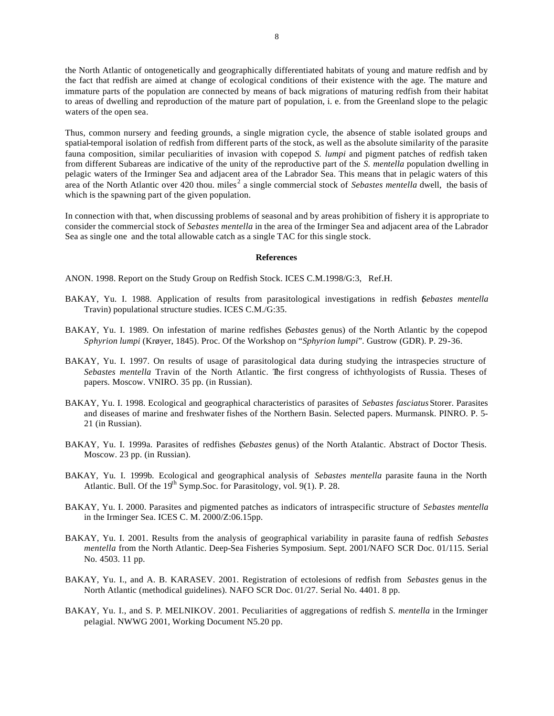the North Atlantic of ontogenetically and geographically differentiated habitats of young and mature redfish and by the fact that redfish are aimed at change of ecological conditions of their existence with the age. The mature and immature parts of the population are connected by means of back migrations of maturing redfish from their habitat to areas of dwelling and reproduction of the mature part of population, i. e. from the Greenland slope to the pelagic waters of the open sea.

Thus, common nursery and feeding grounds, a single migration cycle, the absence of stable isolated groups and spatial-temporal isolation of redfish from different parts of the stock, as well as the absolute similarity of the parasite fauna composition, similar peculiarities of invasion with copepod *S. lumpi* and pigment patches of redfish taken from different Subareas are indicative of the unity of the reproductive part of the *S. mentella* population dwelling in pelagic waters of the Irminger Sea and adjacent area of the Labrador Sea. This means that in pelagic waters of this area of the North Atlantic over 420 thou. miles<sup>2</sup> a single commercial stock of *Sebastes mentella* dwell, the basis of which is the spawning part of the given population.

In connection with that, when discussing problems of seasonal and by areas prohibition of fishery it is appropriate to consider the commercial stock of *Sebastes mentella* in the area of the Irminger Sea and adjacent area of the Labrador Sea as single one and the total allowable catch as a single TAC for this single stock.

#### **References**

ANON. 1998. Report on the Study Group on Redfish Stock. ICES C.M.1998/G:3, Ref.H.

- BAKAY, Yu. I. 1988. Application of results from parasitological investigations in redfish (*Sebastes mentella* Travin) populational structure studies. ICES C.M./G:35.
- BAKAY, Yu. I. 1989. On infestation of marine redfishes (*Sebastes* genus) of the North Atlantic by the copepod *Sphyrion lumpi* (Krøyer, 1845). Proc. Of the Workshop on "*Sphyrion lumpi*". Gustrow (GDR). P. 29-36.
- BAKAY, Yu. I. 1997. On results of usage of parasitological data during studying the intraspecies structure of *Sebastes mentella* Travin of the North Atlantic. The first congress of ichthyologists of Russia. Theses of papers. Moscow. VNIRO. 35 pp. (in Russian).
- BAKAY, Yu. I. 1998. Ecological and geographical characteristics of parasites of *Sebastes fasciatus* Storer. Parasites and diseases of marine and freshwater fishes of the Northern Basin. Selected papers. Murmansk. PINRO. P. 5- 21 (in Russian).
- BAKAY, Yu. I. 1999a. Parasites of redfishes (*Sebastes* genus) of the North Atalantic. Abstract of Doctor Thesis. Moscow. 23 pp. (in Russian).
- BAKAY, Yu. I. 1999b. Ecological and geographical analysis of *Sebastes mentella* parasite fauna in the North Atlantic. Bull. Of the  $19<sup>th</sup> Symp.Soc.$  for Parasitology, vol. 9(1). P. 28.
- BAKAY, Yu. I. 2000. Parasites and pigmented patches as indicators of intraspecific structure of *Sebastes mentella* in the Irminger Sea. ICES C. M. 2000/Z:06.15pp.
- BAKAY, Yu. I. 2001. Results from the analysis of geographical variability in parasite fauna of redfish *Sebastes mentella* from the North Atlantic. Deep-Sea Fisheries Symposium. Sept. 2001/NAFO SCR Doc. 01/115. Serial No. 4503. 11 pp.
- BAKAY, Yu. I., and A. B. KARASEV. 2001. Registration of ectolesions of redfish from *Sebastes* genus in the North Atlantic (methodical guidelines). NAFO SCR Doc. 01/27. Serial No. 4401. 8 pp.
- BAKAY, Yu. I., and S. P. MELNIKOV. 2001. Peculiarities of aggregations of redfish *S. mentella* in the Irminger pelagial. NWWG 2001, Working Document N5.20 pp.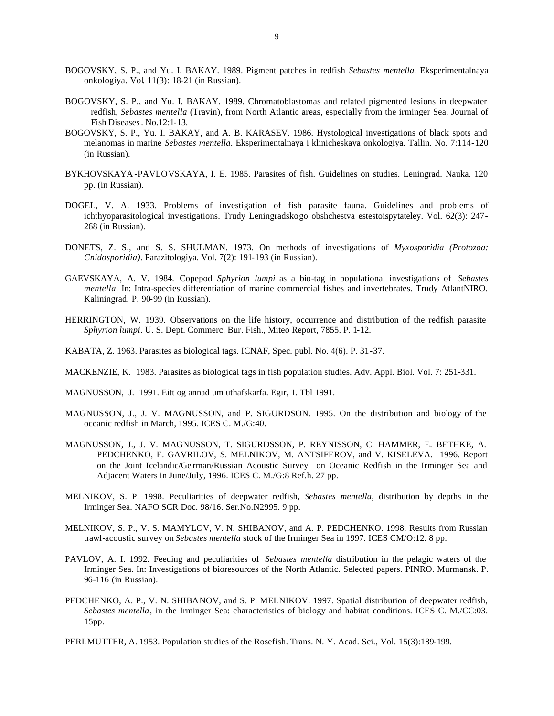- BOGOVSKY, S. P., and Yu. I. BAKAY. 1989. Pigment patches in redfish *Sebastes mentella.* Eksperimentalnaya onkologiya. Vol. 11(3): 18-21 (in Russian).
- BOGOVSKY, S. P., and Yu. I. BAKAY. 1989. Chromatoblastomas and related pigmented lesions in deepwater redfish, *Sebastes mentella* (Travin), from North Atlantic areas, especially from the irminger Sea. Journal of Fish Diseases. No.12:1-13.
- BOGOVSKY, S. P., Yu. I. BAKAY, and A. B. KARASEV. 1986. Hystological investigations of black spots and melanomas in marine *Sebastes mentella*. Eksperimentalnaya i klinicheskaya onkologiya. Tallin. No. 7:114-120 (in Russian).
- BYKHOVSKAYA -PAVLOVSKAYA, I. E. 1985. Parasites of fish. Guidelines on studies. Leningrad. Nauka. 120 pp. (in Russian).
- DOGEL, V. A. 1933. Problems of investigation of fish parasite fauna. Guidelines and problems of ichthyoparasitological investigations. Trudy Leningradskogo obshchestva estestoispytateley. Vol. 62(3): 247- 268 (in Russian).
- DONETS, Z. S., and S. S. SHULMAN. 1973. On methods of investigations of *Myxosporidia (Protozoa: Cnidosporidia)*. Parazitologiya. Vol. 7(2): 191-193 (in Russian).
- GAEVSKAYA, A. V. 1984. Copepod *Sphyrion lumpi* as a bio-tag in populational investigations of *Sebastes mentella*. In: Intra-species differentiation of marine commercial fishes and invertebrates. Trudy AtlantNIRO. Kaliningrad. P. 90-99 (in Russian).
- HERRINGTON, W. 1939. Observations on the life history, occurrence and distribution of the redfish parasite *Sphyrion lumpi*. U. S. Dept. Commerc. Bur. Fish., Miteo Report, 7855. P. 1-12.
- KABATA, Z. 1963. Parasites as biological tags. ICNAF, Spec. publ. No. 4(6). P. 31-37.
- MACKENZIE, K. 1983. Parasites as biological tags in fish population studies. Adv. Appl. Biol. Vol. 7: 251-331.
- MAGNUSSON, J. 1991. Eitt og annad um uthafskarfa. Egir, 1. Tbl 1991.
- MAGNUSSON, J., J. V. MAGNUSSON, and P. SIGURDSON. 1995. On the distribution and biology of the oceanic redfish in March, 1995. ICES C. M./G:40.
- MAGNUSSON, J., J. V. MAGNUSSON, T. SIGURDSSON, P. REYNISSON, C. HAMMER, E. BETHKE, A. PEDCHENKO, E. GAVRILOV, S. MELNIKOV, M. ANTSIFEROV, and V. KISELEVA. 1996. Report on the Joint Icelandic/Ge rman/Russian Acoustic Survey on Oceanic Redfish in the Irminger Sea and Adjacent Waters in June/July, 1996. ICES C. M./G:8 Ref.h. 27 pp.
- MELNIKOV, S. P. 1998. Peculiarities of deepwater redfish, *Sebastes mentella*, distribution by depths in the Irminger Sea. NAFO SCR Doc. 98/16. Ser.No.N2995. 9 pp.
- MELNIKOV, S. P., V. S. MAMYLOV, V. N. SHIBANOV, and A. P. PEDCHENKO. 1998. Results from Russian trawl-acoustic survey on *Sebastes mentella* stock of the Irminger Sea in 1997. ICES CM/O:12. 8 pp.
- PAVLOV, A. I. 1992. Feeding and peculiarities of *Sebastes mentella* distribution in the pelagic waters of the Irminger Sea. In: Investigations of bioresources of the North Atlantic. Selected papers. PINRO. Murmansk. P. 96-116 (in Russian).
- PEDCHENKO, A. P., V. N. SHIBANOV, and S. P. MELNIKOV. 1997. Spatial distribution of deepwater redfish, *Sebastes mentella*, in the Irminger Sea: characteristics of biology and habitat conditions. ICES C. M./CC:03. 15pp.
- PERLMUTTER, A. 1953. Population studies of the Rosefish. Trans. N. Y. Acad. Sci., Vol. 15(3):189-199.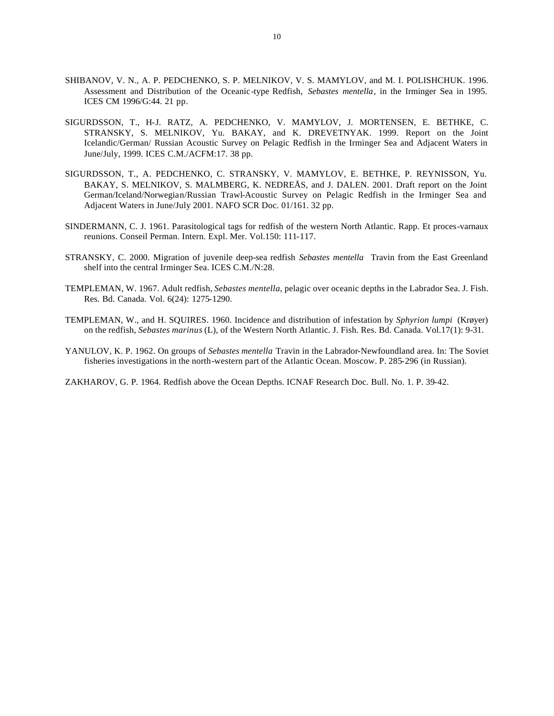- SHIBANOV, V. N., A. P. PEDCHENKO, S. P. MELNIKOV, V. S. MAMYLOV, and M. I. POLISHCHUK. 1996. Assessment and Distribution of the Oceanic-type Redfish, *Sebastes mentella*, in the Irminger Sea in 1995. ICES CM 1996/G:44. 21 pp.
- SIGURDSSON, T., H-J. RATZ, A. PEDCHENKO, V. MAMYLOV, J. MORTENSEN, E. BETHKE, C. STRANSKY, S. MELNIKOV, Yu. BAKAY, and K. DREVETNYAK. 1999. Report on the Joint Icelandic/German/ Russian Acoustic Survey on Pelagic Redfish in the Irminger Sea and Adjacent Waters in June/July, 1999. ICES C.M./ACFM:17. 38 pp.
- SIGURDSSON, T., A. PEDCHENKO, C. STRANSKY, V. MAMYLOV, E. BETHKE, P. REYNISSON, Yu. BAKAY, S. MELNIKOV, S. MALMBERG, K. NEDREÅS, and J. DALEN. 2001. Draft report on the Joint German/Iceland/Norwegian/Russian Trawl-Acoustic Survey on Pelagic Redfish in the Irminger Sea and Adjacent Waters in June/July 2001. NAFO SCR Doc. 01/161. 32 pp.
- SINDERMANN, C. J. 1961. Parasitological tags for redfish of the western North Atlantic. Rapp. Et proces-varnaux reunions. Conseil Perman. Intern. Expl. Mer. Vol.150: 111-117.
- STRANSKY, C. 2000. Migration of juvenile deep-sea redfish *Sebastes mentella* Travin from the East Greenland shelf into the central Irminger Sea. ICES C.M./N:28.
- TEMPLEMAN, W. 1967. Adult redfish, *Sebastes mentella*, pelagic over oceanic depths in the Labrador Sea. J. Fish. Res. Bd. Canada. Vol. 6(24): 1275-1290.
- TEMPLEMAN, W., and H. SQUIRES. 1960. Incidence and distribution of infestation by *Sphyrion lumpi* (Krøyer) on the redfish, *Sebastes marinus* (L), of the Western North Atlantic. J. Fish. Res. Bd. Canada. Vol.17(1): 9-31.
- YANULOV, K. P. 1962. On groups of *Sebastes mentella* Travin in the Labrador-Newfoundland area. In: The Soviet fisheries investigations in the north-western part of the Atlantic Ocean. Moscow. P. 285-296 (in Russian).

ZAKHAROV, G. P. 1964. Redfish above the Ocean Depths. ICNAF Research Doc. Bull. No. 1. P. 39-42.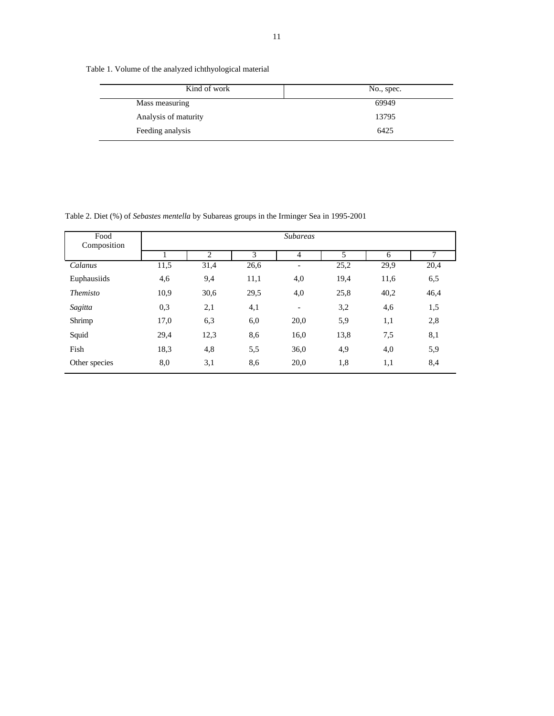Table 1. Volume of the analyzed ichthyological material

| Kind of work         | No., spec. |
|----------------------|------------|
| Mass measuring       | 69949      |
| Analysis of maturity | 13795      |
| Feeding analysis     | 6425       |

Table 2. Diet (%) of *Sebastes mentella* by Subareas groups in the Irminger Sea in 1995-2001

| Food<br>Composition | <b>Subareas</b>            |      |      |                              |      |      |      |  |  |  |  |  |  |  |
|---------------------|----------------------------|------|------|------------------------------|------|------|------|--|--|--|--|--|--|--|
|                     |                            | 2    | 3    | $\overline{4}$               | 5    | 6    | 7    |  |  |  |  |  |  |  |
| Calanus             | 11,5                       | 31,4 | 26,6 | $\overline{\phantom{a}}$     | 25,2 | 29,9 | 20,4 |  |  |  |  |  |  |  |
| Euphausiids         | 4,6                        | 9,4  | 11,1 | 4,0                          | 19,4 | 11,6 | 6,5  |  |  |  |  |  |  |  |
| <i>Themisto</i>     | 10,9                       | 30,6 | 29,5 | 4,0                          | 25,8 | 40,2 | 46,4 |  |  |  |  |  |  |  |
| Sagitta             | 0,3                        | 2,1  | 4,1  | $\qquad \qquad \blacksquare$ | 3,2  | 4,6  | 1,5  |  |  |  |  |  |  |  |
| Shrimp              | 17,0                       | 6,3  | 6,0  | 20,0                         | 5,9  | 1,1  | 2,8  |  |  |  |  |  |  |  |
| Squid               | 29,4                       | 12,3 | 8,6  | 16,0                         | 13,8 | 7,5  | 8,1  |  |  |  |  |  |  |  |
| Fish                | 18,3<br>4,8<br>5,5<br>36,0 |      | 4,9  | 4,0                          | 5,9  |      |      |  |  |  |  |  |  |  |
| Other species       | 8,0                        | 3,1  | 8,6  | 20,0                         | 1,8  | 1,1  | 8,4  |  |  |  |  |  |  |  |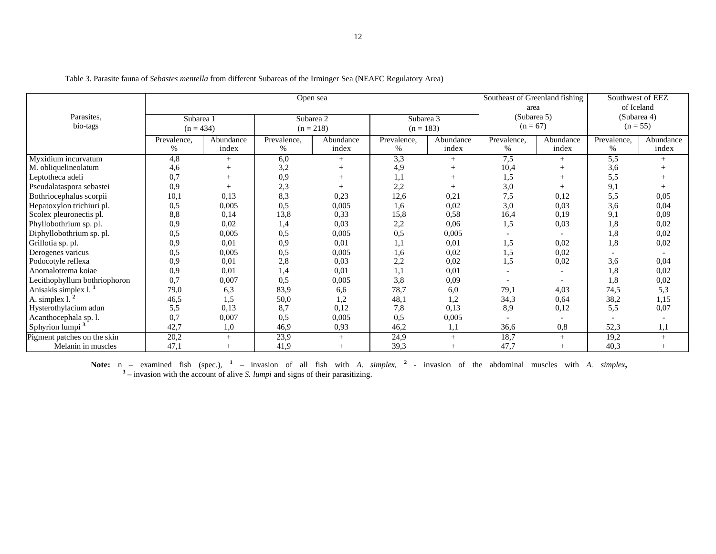|                                  |             |           | Open sea           | Southeast of Greenland fishing<br>area |             | Southwest of EEZ<br>of Iceland |                          |           |                  |           |  |
|----------------------------------|-------------|-----------|--------------------|----------------------------------------|-------------|--------------------------------|--------------------------|-----------|------------------|-----------|--|
| Parasites.                       | Subarea 1   |           | Subarea 2          |                                        | Subarea 3   |                                | (Subarea 5)              |           | (Subarea 4)      |           |  |
| bio-tags                         | $(n = 434)$ |           |                    | $(n = 218)$                            | $(n = 183)$ |                                | $(n = 67)$               |           | $(n = 55)$       |           |  |
|                                  | Prevalence, | Abundance | Prevalence,        | Abundance                              | Prevalence, | Abundance                      | Prevalence,              | Abundance | Prevalence,      | Abundance |  |
|                                  | $\%$        | index     | $\%$               | index                                  | $\%$        | index                          | %                        | index     | %                | index     |  |
| Myxidium incurvatum              | 4,8         |           | 6,0                | $^{+}$                                 | 3,3         | $^{+}$                         | 7,5                      | $+$       | $\overline{5,5}$ |           |  |
| M. obliquelineolatum             | 4,6         |           | 3,2                |                                        | 4,9         |                                | 10,4                     |           | 3,6              |           |  |
| Leptotheca adeli                 | 0,7         |           | 0,9                |                                        | 1,1         |                                | 1,5                      |           | 5,5              |           |  |
| Pseudalataspora sebastei         | 0.9         |           | 2,3                |                                        | 2,2         |                                | 3,0                      |           | 9,1              |           |  |
| Bothriocephalus scorpii          | 10.1        | 0.13      | 8.3                | 0,23                                   | 12,6        | 0.21                           | 7,5                      | 0,12      | 5,5              | 0.05      |  |
| Hepatoxylon trichiuri pl.        | 0,5         | 0.005     | 0.5                | 0,005                                  | 1,6         | 0,02                           | 3,0                      | 0,03      | 3,6              | 0,04      |  |
| Scolex pleuronectis pl.          | 8,8         | 0,14      | 13,8               | 0,33                                   | 15,8        | 0,58                           | 16,4                     | 0,19      | 9,1              | 0,09      |  |
| Phyllobothrium sp. pl.           | 0,9         | 0,02      | 1,4                | 0,03                                   | 2,2         | 0,06                           | 1,5                      | 0,03      | 1,8              | 0,02      |  |
| Diphyllobothrium sp. pl.         | 0,5         | 0,005     | 0.5                | 0,005                                  | 0,5         | 0,005                          | $\overline{\phantom{a}}$ |           | 1,8              | 0,02      |  |
| Grillotia sp. pl.                | 0.9         | 0,01      | 0.9<br>0,01<br>1,1 |                                        | 0,01        | 1,5<br>0,02                    |                          | 1,8       | 0,02             |           |  |
| Derogenes varicus                | 0,5         | 0,005     | 0,5                | 0,005                                  | 1,6         | 0,02                           | 1,5                      | 0,02      |                  |           |  |
| Podocotyle reflexa               | 0,9         | 0,01      | 2,8                | 0,03                                   | 2,2         | 0,02                           | 1,5                      | 0,02      | 3,6              | 0,04      |  |
| Anomalotrema koiae               | 0.9         | 0,01      | 1,4                | 0,01                                   | 1,1         | 0,01                           | $\overline{\phantom{a}}$ |           | 1,8              | 0,02      |  |
| Lecithophyllum bothriophoron     | 0.7         | 0,007     | 0,5                | 0,005                                  | 3,8         | 0,09                           |                          |           | 1,8              | 0,02      |  |
| Anisakis simplex 1. <sup>1</sup> | 79,0        | 6,3       | 83,9               | 6,6                                    | 78,7        | 6,0                            | 79,1                     | 4,03      | 74,5             | 5,3       |  |
| A. simplex 1. $2$                | 46,5        | 1,5       | 50,0               | 1,2                                    | 48,1        | 1,2                            | 34,3                     | 0,64      | 38,2             | 1,15      |  |
| Hysterothylacium adun            | 5,5         | 0.13      | 8,7                | 0,12                                   | 7,8         | 0,13                           | 8,9                      | 0,12      | 5,5              | 0,07      |  |
| Acanthocephala sp. l.            | 0,7         | 0,007     | 0,5                | 0,005                                  | 0,5         | 0,005                          |                          |           |                  |           |  |
| Sphyrion lumpi <sup>3</sup>      | 42,7        | 1,0       | 46,9               | 0,93                                   | 46,2        | 1,1                            | 36,6                     | 0.8       | 52,3             | 1,1       |  |
| Pigment patches on the skin      | 20,2        | $^{+}$    | 23,9               | $+$                                    | 24,9        | $+$                            | 18,7                     | $+$       | 19,2             | $^{+}$    |  |
| Melanin in muscles               | 47,1        |           | 41,9               | $^{+}$                                 | 39,3        | $^{+}$                         | 47,7                     |           | 40,3             | $^{+}$    |  |

Table 3. Parasite fauna of *Sebastes mentella* from different Subareas of the Irminger Sea (NEAFC Regulatory Area)

**Note:** n – examined fish (spec.), <sup>1</sup> – invasion of all fish with *A. simplex*, <sup>2</sup> - invasion of the abdominal muscles with *A. simplex*, <sup>3</sup> – invasion with the account of alive *S. lumpi* and signs of their parasitizi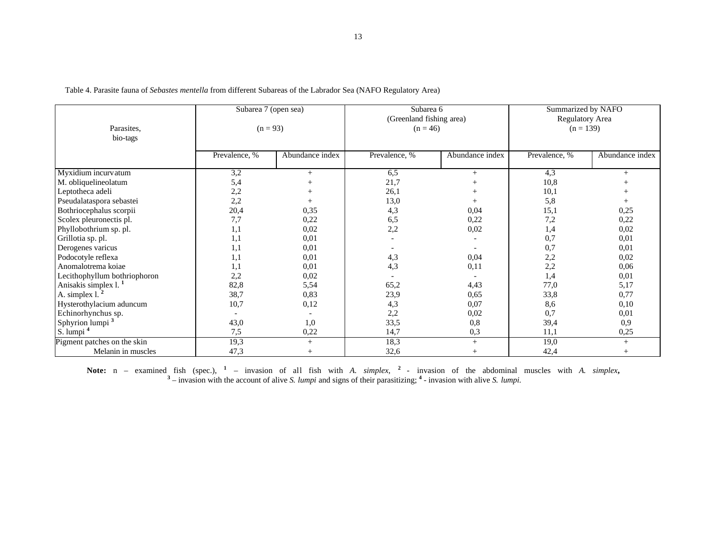| Parasites.<br>bio-tags           | Subarea 7 (open sea) | $(n = 93)$      | Subarea 6<br>(Greenland fishing area)<br>$(n = 46)$ |                 | Summarized by NAFO<br>Regulatory Area<br>$(n = 139)$ |                 |  |  |
|----------------------------------|----------------------|-----------------|-----------------------------------------------------|-----------------|------------------------------------------------------|-----------------|--|--|
|                                  | Prevalence, %        | Abundance index | Prevalence, %                                       | Abundance index | Prevalence, %                                        | Abundance index |  |  |
| Myxidium incurvatum              | 3,2                  | $^{+}$          | 6,5                                                 | $^{+}$          | 4,3                                                  | $+$             |  |  |
| M. obliquelineolatum             | 5,4                  |                 | 21,7                                                |                 | 10,8                                                 |                 |  |  |
| Leptotheca adeli                 | 2,2                  |                 | 26,1                                                |                 | 10,1                                                 |                 |  |  |
| Pseudalataspora sebastei         | 2,2                  |                 | 13,0                                                |                 | 5,8                                                  |                 |  |  |
| Bothriocephalus scorpii          | 20,4                 | 0,35            | 4,3                                                 | 0,04            | 15,1                                                 | 0,25            |  |  |
| Scolex pleuronectis pl.          | 7,7                  | 0,22            | 6,5                                                 | 0,22            | 7,2                                                  | 0,22            |  |  |
| Phyllobothrium sp. pl.           | 1,1                  | 0,02            | 2,2                                                 | 0,02            | 1,4                                                  | 0,02            |  |  |
| Grillotia sp. pl.                | 1,1                  | 0,01            |                                                     |                 | 0,7                                                  | 0,01            |  |  |
| Derogenes varicus                | 1,1                  | 0,01            |                                                     |                 | 0,7                                                  | 0,01            |  |  |
| Podocotyle reflexa               | 1,1                  | 0.01            | 4,3                                                 | 0,04            | 2,2                                                  | 0,02            |  |  |
| Anomalotrema koiae               | 1,1                  | 0.01            | 4,3                                                 | 0,11            | 2,2                                                  | 0,06            |  |  |
| Lecithophyllum bothriophoron     | 2,2                  | 0,02            |                                                     |                 | 1,4                                                  | 0,01            |  |  |
| Anisakis simplex 1. <sup>1</sup> | 82,8                 | 5,54            | 65,2                                                | 4,43            | 77,0                                                 | 5,17            |  |  |
| A. simplex 1. <sup>2</sup>       | 38,7                 | 0,83            | 23,9                                                | 0.65            | 33,8                                                 | 0,77            |  |  |
| Hysterothylacium aduncum         | 10,7                 | 0,12            | 4,3                                                 | 0,07            | 8,6                                                  | 0,10            |  |  |
| Echinorhynchus sp.               |                      |                 | 2,2                                                 | 0,02            | 0,7                                                  | 0,01            |  |  |
| Sphyrion lumpi <sup>3</sup>      | 43,0                 | 1,0             | 33,5                                                | 0,8             | 39,4                                                 | 0.9             |  |  |
| S. lumpi <sup>4</sup>            | 7,5                  | 0,22            | 14,7                                                | 0,3             | 11,1                                                 | 0,25            |  |  |
| Pigment patches on the skin      | 19,3                 | $^{+}$          | 18,3                                                | $+$             | 19,0                                                 | $^{+}$          |  |  |
| Melanin in muscles               | 47,3                 |                 | 32,6                                                |                 | 42,4                                                 |                 |  |  |

Table 4. Parasite fauna of *Sebastes mentella* from different Subareas of the Labrador Sea (NAFO Regulatory Area)

**Note:** n – examined fish (spec.), <sup>1</sup> – invasion of all fish with *A. simplex*, <sup>2</sup> - invasion of the abdominal muscles with *A. simplex*, <sup>3</sup> – invasion with interval and signs of their parasitizing; <sup>4</sup> - invasion with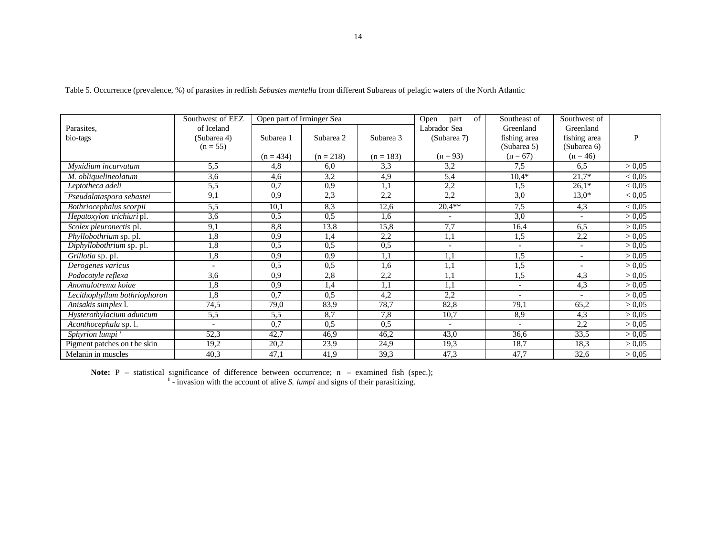|                                      | Southwest of EEZ         | Open part of Irminger Sea |             |             | of<br>Open<br>part       | Southeast of             | Southwest of             |               |
|--------------------------------------|--------------------------|---------------------------|-------------|-------------|--------------------------|--------------------------|--------------------------|---------------|
| Parasites.                           | of Iceland               |                           |             |             | Labrador Sea             | Greenland                | Greenland                |               |
| bio-tags                             | (Subarea 4)              | Subarea 1                 | Subarea 2   | Subarea 3   | (Subarea 7)              | fishing area             | fishing area             | P             |
|                                      | $(n = 55)$               |                           |             |             |                          | (Subarea 5)              | (Subarea 6)              |               |
|                                      |                          | $(n = 434)$               | $(n = 218)$ | $(n = 183)$ | $(n = 93)$               | $(n = 67)$               | $(n = 46)$               |               |
| Myxidium incurvatum                  | 5.5                      | 4.8                       | 6.0         | 3.3         | 3,2                      | 7.5                      | 6.5                      | > 0.05        |
| M. obliquelineolatum                 | 3,6                      | 4,6                       | 3,2         | 4,9         | 5,4                      | $10,4*$                  | $21.7*$                  | ${}< 0.05$    |
| Leptotheca adeli                     | 5,5                      | 0,7                       | 0,9         | 1,1         | 2,2                      | 1,5                      | $26,1*$                  | ${}_{< 0.05}$ |
| Pseudalataspora sebastei             | 9,1                      | 0,9                       | 2,3         | 2,2         | 2,2                      | 3,0                      | $13.0*$                  | < 0.05        |
| Bothriocephalus scorpii              | 5,5                      | 10.1                      | 8,3         | 12,6        | $20,4**$                 | 7,5                      | 4,3                      | ${}_{< 0.05}$ |
| Hepatoxylon trichiuri pl.            | 3,6                      | 0,5                       | 0,5         | 1,6         |                          | 3,0                      |                          | > 0.05        |
| Scolex pleuronectis pl.              | 9,1                      | 8.8                       | 13,8        | 15,8        | 7,7                      | 16,4                     | 6,5                      | > 0.05        |
| $\overline{Phvll}$ obothrium sp. pl. | 1.8                      | 0,9                       | 1,4         | 2,2         | 1,1                      | 1,5                      | 2,2                      | > 0.05        |
| Diphyllobothrium sp. pl.             | $\cdot$ .8               | 0,5                       | 0.5         | 0,5         | $\overline{\phantom{a}}$ | $\overline{\phantom{a}}$ | $\overline{\phantom{a}}$ | > 0.05        |
| Grillotia sp. pl.                    | $\mathbf{.8}$            | 0,9                       | 0.9         | 1,1         | 1,1                      | 1,5                      | $\overline{a}$           | > 0.05        |
| Derogenes varicus                    | $\overline{\phantom{0}}$ | 0.5                       | 0.5         | 1.6         | 1,1                      | 1,5                      | $\overline{\phantom{0}}$ | > 0.05        |
| Podocotyle reflexa                   | 3,6                      | 0.9                       | 2,8         | 2,2         | 1,1                      | 1.5                      | 4.3                      | > 0.05        |
| Anomalotrema koiae                   | 1.8                      | 0,9                       | 1,4         | 1,1         | 1,1                      | $\overline{a}$           | 4,3                      | > 0.05        |
| Lecithophyllum bothriophoron         | 1.8                      | 0,7                       | 0.5         | 4,2         | 2,2                      |                          |                          | > 0.05        |
| Anisakis simplex l.                  | 74,5                     | 79,0                      | 83,9        | 78,7        | 82,8                     | 79,1                     | 65,2                     | > 0.05        |
| Hysterothylacium aduncum             | 5,5                      | 5.5                       | 8,7         | 7,8         | 10,7                     | 8,9                      | 4,3                      | > 0.05        |
| Acanthocephala sp. 1.                | $\overline{\phantom{a}}$ | 0,7                       | 0,5         | 0,5         | $\overline{\phantom{a}}$ | $\overline{\phantom{a}}$ | 2,2                      | > 0.05        |
| Sphyrion lumpi <sup>1</sup>          | 52,3                     | 42,7                      | 46,9        | 46,2        | 43,0                     | 36,6                     | 33,5                     | > 0.05        |
| Pigment patches on the skin          | 19,2                     | 20,2                      | 23,9        | 24,9        | 19,3                     | 18.7                     | 18,3                     | > 0.05        |
| Melanin in muscles                   | 40,3                     | 47,1                      | 41,9        | 39,3        | 47,3                     | 47,7                     | 32,6                     | > 0,05        |

Table 5. Occurrence (prevalence, %) of parasites in redfish *Sebastes mentella* from different Subareas of pelagic waters of the North Atlantic

**Note: P** – statistical significance of difference between occurrence; **n** – examined fish (spec.); <sup>1</sup> - invasion with the account of alive *S. lumpi* and signs of their parasitizing.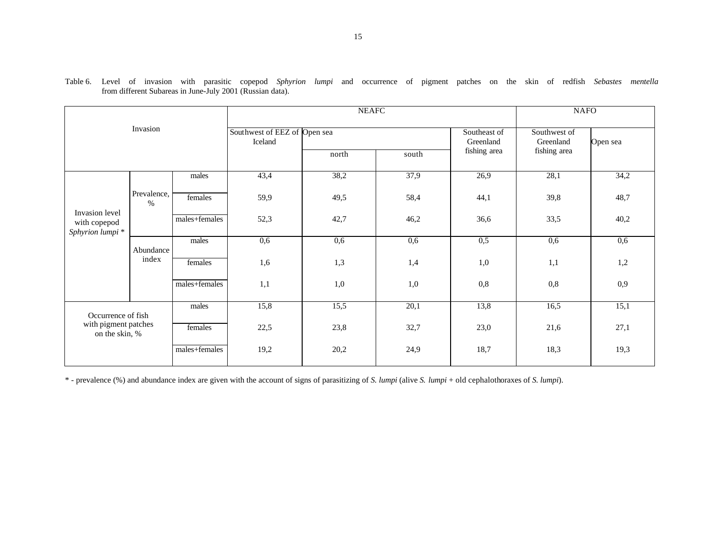|                                                   |                     |               |                                         | <b>NEAFC</b> | <b>NAFO</b> |                           |                           |          |
|---------------------------------------------------|---------------------|---------------|-----------------------------------------|--------------|-------------|---------------------------|---------------------------|----------|
|                                                   | Invasion            |               | Southwest of EEZ of Open sea<br>Iceland |              |             | Southeast of<br>Greenland | Southwest of<br>Greenland | Open sea |
|                                                   |                     |               |                                         | north        | south       | fishing area              | fishing area              |          |
|                                                   |                     | males         | 43,4                                    | 38,2         | 37,9        | 26,9                      | 28,1                      | 34,2     |
|                                                   | Prevalence,<br>$\%$ | females       | 59,9                                    | 49,5         | 58,4        | 44,1                      | 39,8                      | 48,7     |
| Invasion level<br>with copepod<br>Sphyrion lumpi* |                     | males+females | 52,3                                    | 42,7         | 46,2        | 36,6                      | 33,5                      | 40,2     |
|                                                   | Abundance           | males         | 0,6                                     | 0,6          | 0,6         | 0,5                       | 0,6                       | 0,6      |
|                                                   | index               | females       | 1,6                                     | 1,3          | 1,4         | 1,0                       | 1,1                       | 1,2      |
|                                                   |                     | males+females | 1,1                                     | 1,0          | 1,0         | 0,8                       | 0,8                       | 0,9      |
| Occurrence of fish                                |                     | males         | 15,8                                    | 15,5         | 20,1        | 13,8                      | 16,5                      | 15,1     |
| with pigment patches<br>on the skin, %            |                     | females       | 22,5                                    | 23,8         | 32,7        | 23,0                      | 21,6                      | 27,1     |
|                                                   |                     | males+females | 19,2                                    | 20,2         | 24,9        | 18,7                      | 18,3                      | 19,3     |

| Table ( | evel                                                      | ΟĪ | 1nvas10n | with | parasitic | ic conenod | Sphyrion | lumpi | and | occurrence | Οİ | pigment | patches on the |  |  | skin of redfish | Sebastes |  |
|---------|-----------------------------------------------------------|----|----------|------|-----------|------------|----------|-------|-----|------------|----|---------|----------------|--|--|-----------------|----------|--|
|         | from different Subareas in June-July 2001 (Russian data). |    |          |      |           |            |          |       |     |            |    |         |                |  |  |                 |          |  |

\* - prevalence (%) and abundance index are given with the account of signs of parasitizing of *S. lumpi* (alive *S. lumpi* + old cephalothoraxes of *S. lumpi*).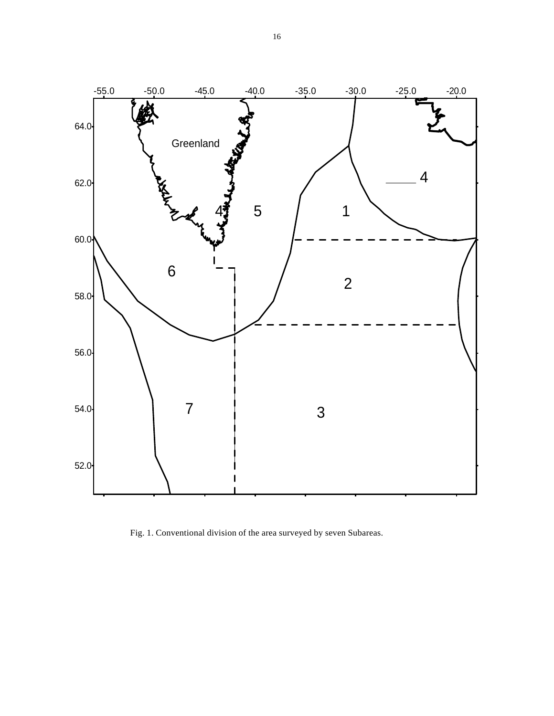

Fig. 1. Conventional division of the area surveyed by seven Subareas.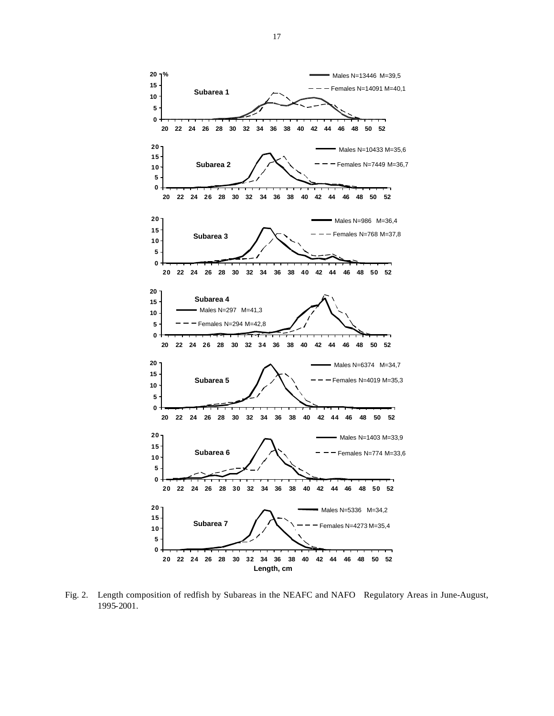

Fig. 2. Length composition of redfish by Subareas in the NEAFC and NAFO Regulatory Areas in June-August, 1995-2001.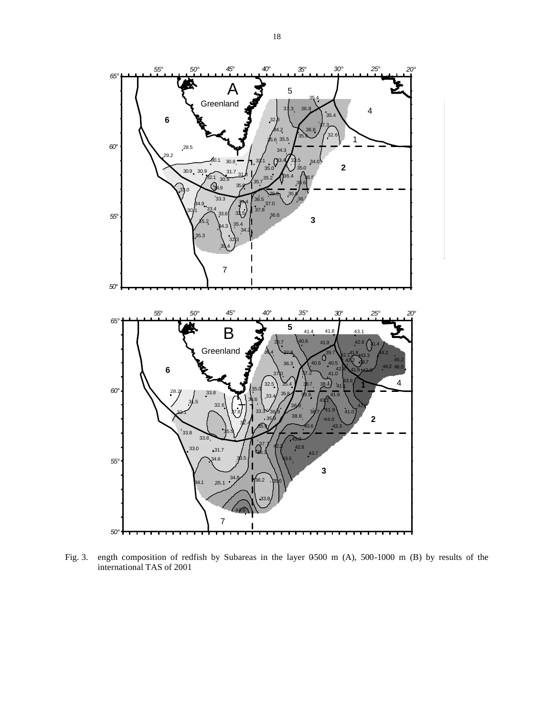

Fig. 3. ength composition of redfish by Subareas in the layer 0500 m (A), 500-1000 m (B) by results of the international TAS of 2001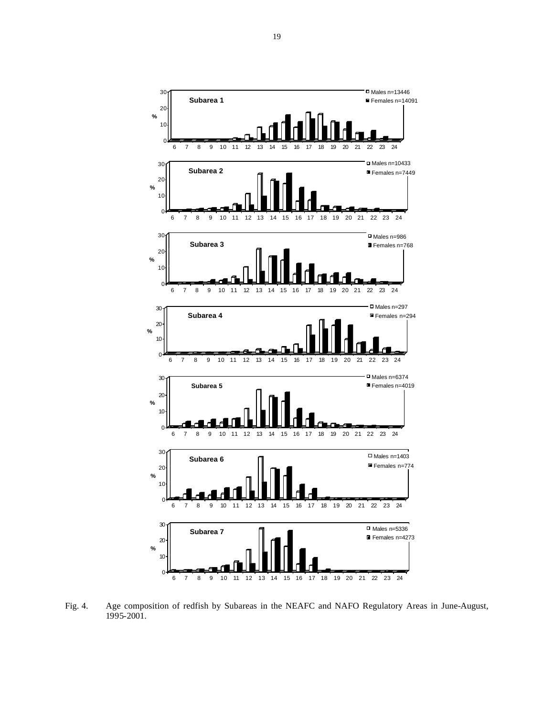

Fig. 4. Age composition of redfish by Subareas in the NEAFC and NAFO Regulatory Areas in June-August, 1995-2001.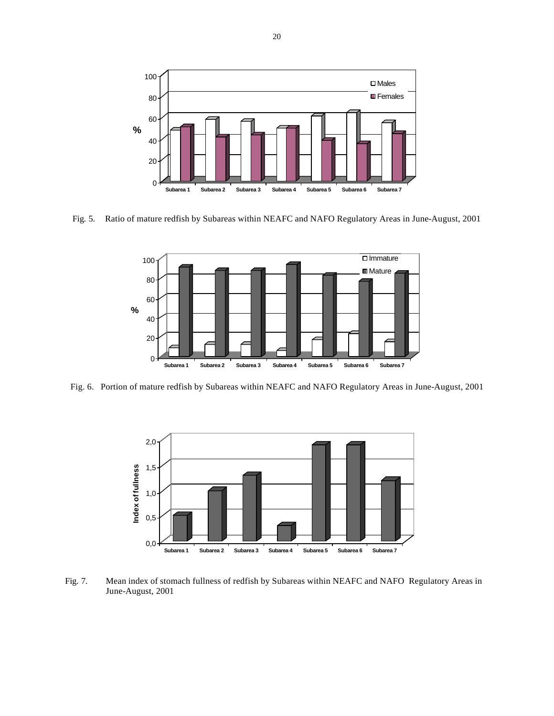

Fig. 5. Ratio of mature redfish by Subareas within NEAFC and NAFO Regulatory Areas in June-August, 2001



Fig. 6. Portion of mature redfish by Subareas within NEAFC and NAFO Regulatory Areas in June-August, 2001



Fig. 7. Mean index of stomach fullness of redfish by Subareas within NEAFC and NAFO Regulatory Areas in June-August, 2001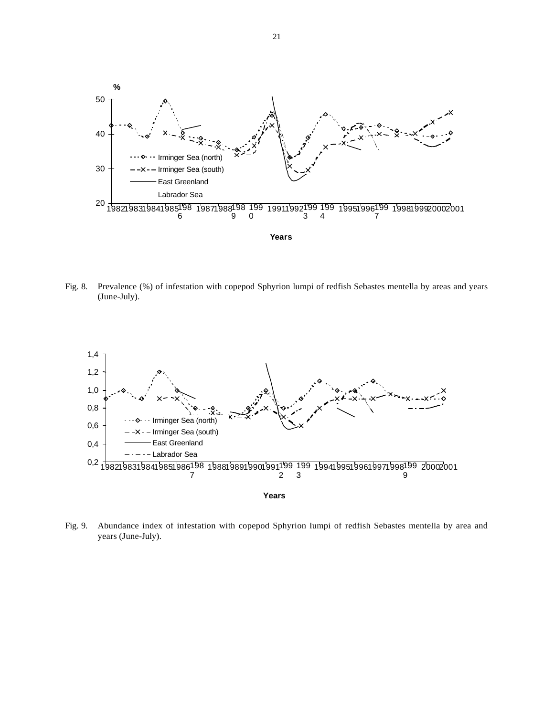

Fig. 8. Prevalence (%) of infestation with copepod Sphyrion lumpi of redfish Sebastes mentella by areas and years (June-July).



Fig. 9. Abundance index of infestation with copepod Sphyrion lumpi of redfish Sebastes mentella by area and years (June-July).